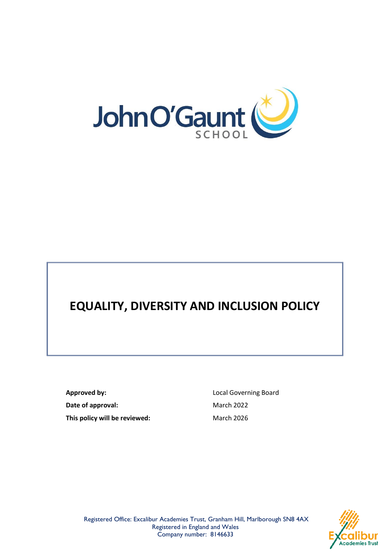

# **EQUALITY, DIVERSITY AND INCLUSION POLICY**

**Approved by:** Local Governing Board **Date of approval:** March 2022 **This policy will be reviewed:** March 2026



Registered Office: Excalibur Academies Trust, Granham Hill, Marlborough SN8 4AX Registered in England and Wales Company number: 8146633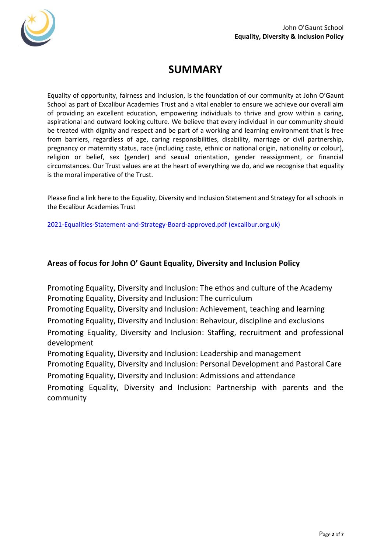

## **SUMMARY**

Equality of opportunity, fairness and inclusion, is the foundation of our community at John O'Gaunt School as part of Excalibur Academies Trust and a vital enabler to ensure we achieve our overall aim of providing an excellent education, empowering individuals to thrive and grow within a caring, aspirational and outward looking culture. We believe that every individual in our community should be treated with dignity and respect and be part of a working and learning environment that is free from barriers, regardless of age, caring responsibilities, disability, marriage or civil partnership, pregnancy or maternity status, race (including caste, ethnic or national origin, nationality or colour), religion or belief, sex (gender) and sexual orientation, gender reassignment, or financial circumstances. Our Trust values are at the heart of everything we do, and we recognise that equality is the moral imperative of the Trust.

Please find a link here to the Equality, Diversity and Inclusion Statement and Strategy for all schools in the Excalibur Academies Trust

[2021-Equalities-Statement-and-Strategy-Board-approved.pdf \(excalibur.org.uk\)](https://www.excalibur.org.uk/wp-content/uploads/2021-Equalities-Statement-and-Strategy-Board-approved.pdf)

#### **Areas of focus for John O' Gaunt Equality, Diversity and Inclusion Policy**

Promoting Equality, Diversity and Inclusion: The ethos and culture of the Academy Promoting Equality, Diversity and Inclusion: The curriculum

Promoting Equality, Diversity and Inclusion: Achievement, teaching and learning Promoting Equality, Diversity and Inclusion: Behaviour, discipline and exclusions

Promoting Equality, Diversity and Inclusion: Staffing, recruitment and professional development

Promoting Equality, Diversity and Inclusion: Leadership and management

Promoting Equality, Diversity and Inclusion: Personal Development and Pastoral Care Promoting Equality, Diversity and Inclusion: Admissions and attendance

Promoting Equality, Diversity and Inclusion: Partnership with parents and the community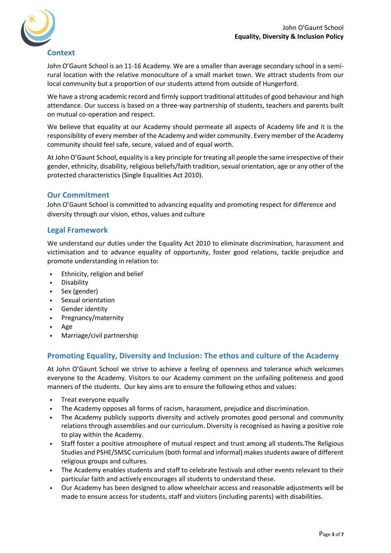

#### **Context**

John O'Gaunt School is an 11-16 Academy. We are a smaller than average secondary school in a semirural location with the relative monoculture of a small market town. We attract students from our local community but a proportion of our students attend from outside of Hungerford.

We have a strong academic record and firmly support traditional attitudes of good behaviour and high attendance. Our success is based on a three-way partnership of students, teachers and parents built on mutual co-operation and respect.

We believe that equality at our Academy should permeate all aspects of Academy life and it is the responsibility of every member of the Academy and wider community. Every member of the Academy community should feel safe, secure, valued and of equal worth.

At John O'Gaunt School, equality is a key principle for treating all people the same irrespective of their gender, ethnicity, disability, religious beliefs/faith tradition, sexual orientation, age or any other of the protected characteristics (Single Equalities Act 2010).

#### **Our Commitment**

John O'Gaunt School is committed to advancing equality and promoting respect for difference and diversity through our vision, ethos, values and culture

#### **Legal Framework**

We understand our duties under the Equality Act 2010 to eliminate discrimination, harassment and victimisation and to advance equality of opportunity, foster good relations, tackle prejudice and promote understanding in relation to:

- Ethnicity, religion and belief
- Disability
- Sex (gender)
- Sexual orientation
- Gender identity
- Pregnancy/maternity
- Age
- Marriage/civil partnership

#### **Promoting Equality, Diversity and Inclusion: The ethos and culture of the Academy**

At John O'Gaunt School we strive to achieve a feeling of openness and tolerance which welcomes everyone to the Academy. Visitors to our Academy comment on the unfailing politeness and good manners of the students. Our key aims are to ensure the following ethos and values:

- Treat everyone equally
- The Academy opposes all forms of racism, harassment, prejudice and discrimination.
- The Academy publicly supports diversity and actively promotes good personal and community relations through assemblies and our curriculum. Diversity is recognised as having a positive role to play within the Academy.
- Staff foster a positive atmosphere of mutual respect and trust among all students.The Religious Studies and PSHE/SMSC curriculum (both formal and informal) makes students aware of different religious groups and cultures.
- The Academy enables students and staff to celebrate festivals and other events relevant to their particular faith and actively encourages all students to understand these.
- Our Academy has been designed to allow wheelchair access and reasonable adjustments will be made to ensure access for students, staff and visitors (including parents) with disabilities.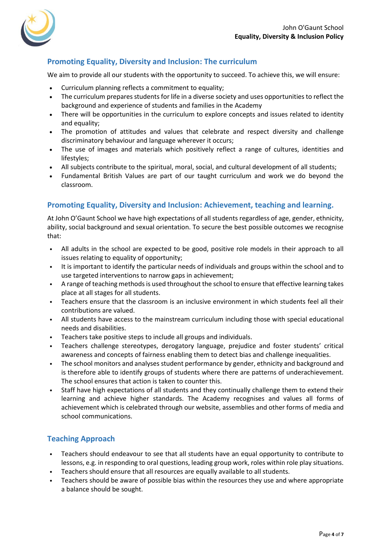

#### **Promoting Equality, Diversity and Inclusion: The curriculum**

We aim to provide all our students with the opportunity to succeed. To achieve this, we will ensure:

- Curriculum planning reflects a commitment to equality;
- The curriculum prepares students for life in a diverse society and uses opportunities to reflect the background and experience of students and families in the Academy
- There will be opportunities in the curriculum to explore concepts and issues related to identity and equality;
- The promotion of attitudes and values that celebrate and respect diversity and challenge discriminatory behaviour and language wherever it occurs;
- The use of images and materials which positively reflect a range of cultures, identities and lifestyles;
- All subjects contribute to the spiritual, moral, social, and cultural development of all students;
- Fundamental British Values are part of our taught curriculum and work we do beyond the classroom.

#### **Promoting Equality, Diversity and Inclusion: Achievement, teaching and learning.**

At John O'Gaunt School we have high expectations of all students regardless of age, gender, ethnicity, ability, social background and sexual orientation. To secure the best possible outcomes we recognise that:

- All adults in the school are expected to be good, positive role models in their approach to all issues relating to equality of opportunity;
- It is important to identify the particular needs of individuals and groups within the school and to use targeted interventions to narrow gaps in achievement;
- A range of teaching methods is used throughout the school to ensure that effective learning takes place at all stages for all students.
- Teachers ensure that the classroom is an inclusive environment in which students feel all their contributions are valued.
- All students have access to the mainstream curriculum including those with special educational needs and disabilities.
- Teachers take positive steps to include all groups and individuals.
- Teachers challenge stereotypes, derogatory language, prejudice and foster students' critical awareness and concepts of fairness enabling them to detect bias and challenge inequalities.
- The school monitors and analyses student performance by gender, ethnicity and background and is therefore able to identify groups of students where there are patterns of underachievement. The school ensures that action is taken to counter this.
- Staff have high expectations of all students and they continually challenge them to extend their learning and achieve higher standards. The Academy recognises and values all forms of achievement which is celebrated through our website, assemblies and other forms of media and school communications.

#### **Teaching Approach**

- Teachers should endeavour to see that all students have an equal opportunity to contribute to lessons, e.g. in responding to oral questions, leading group work, roles within role play situations.
- Teachers should ensure that all resources are equally available to all students.
- Teachers should be aware of possible bias within the resources they use and where appropriate a balance should be sought.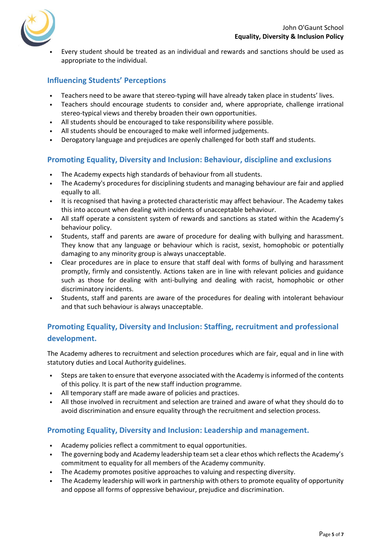

• Every student should be treated as an individual and rewards and sanctions should be used as appropriate to the individual.

#### **Influencing Students' Perceptions**

- Teachers need to be aware that stereo-typing will have already taken place in students' lives.
- Teachers should encourage students to consider and, where appropriate, challenge irrational stereo-typical views and thereby broaden their own opportunities.
- All students should be encouraged to take responsibility where possible.
- All students should be encouraged to make well informed judgements.
- Derogatory language and prejudices are openly challenged for both staff and students.

#### **Promoting Equality, Diversity and Inclusion: Behaviour, discipline and exclusions**

- The Academy expects high standards of behaviour from all students.
- The Academy's procedures for disciplining students and managing behaviour are fair and applied equally to all.
- It is recognised that having a protected characteristic may affect behaviour. The Academy takes this into account when dealing with incidents of unacceptable behaviour.
- All staff operate a consistent system of rewards and sanctions as stated within the Academy's behaviour policy.
- Students, staff and parents are aware of procedure for dealing with bullying and harassment. They know that any language or behaviour which is racist, sexist, homophobic or potentially damaging to any minority group is always unacceptable.
- Clear procedures are in place to ensure that staff deal with forms of bullying and harassment promptly, firmly and consistently. Actions taken are in line with relevant policies and guidance such as those for dealing with anti-bullying and dealing with racist, homophobic or other discriminatory incidents.
- Students, staff and parents are aware of the procedures for dealing with intolerant behaviour and that such behaviour is always unacceptable.

### **Promoting Equality, Diversity and Inclusion: Staffing, recruitment and professional development.**

The Academy adheres to recruitment and selection procedures which are fair, equal and in line with statutory duties and Local Authority guidelines.

- Steps are taken to ensure that everyone associated with the Academy is informed of the contents of this policy. It is part of the new staff induction programme.
- All temporary staff are made aware of policies and practices.
- All those involved in recruitment and selection are trained and aware of what they should do to avoid discrimination and ensure equality through the recruitment and selection process.

#### **Promoting Equality, Diversity and Inclusion: Leadership and management.**

- Academy policies reflect a commitment to equal opportunities.
- The governing body and Academy leadership team set a clear ethos which reflects the Academy's commitment to equality for all members of the Academy community.
- The Academy promotes positive approaches to valuing and respecting diversity.
- The Academy leadership will work in partnership with others to promote equality of opportunity and oppose all forms of oppressive behaviour, prejudice and discrimination.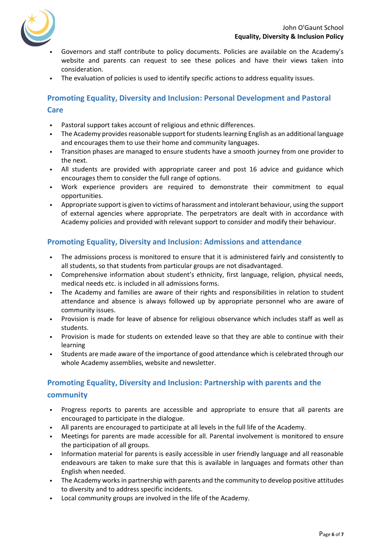

- Governors and staff contribute to policy documents. Policies are available on the Academy's website and parents can request to see these polices and have their views taken into consideration.
- The evaluation of policies is used to identify specific actions to address equality issues.

#### **Promoting Equality, Diversity and Inclusion: Personal Development and Pastoral Care**

- Pastoral support takes account of religious and ethnic differences.
- The Academy provides reasonable support for students learning English as an additional language and encourages them to use their home and community languages.
- Transition phases are managed to ensure students have a smooth journey from one provider to the next.
- All students are provided with appropriate career and post 16 advice and guidance which encourages them to consider the full range of options.
- Work experience providers are required to demonstrate their commitment to equal opportunities.
- Appropriate support is given to victims of harassment and intolerant behaviour, using the support of external agencies where appropriate. The perpetrators are dealt with in accordance with Academy policies and provided with relevant support to consider and modify their behaviour.

#### **Promoting Equality, Diversity and Inclusion: Admissions and attendance**

- The admissions process is monitored to ensure that it is administered fairly and consistently to all students, so that students from particular groups are not disadvantaged.
- Comprehensive information about student's ethnicity, first language, religion, physical needs, medical needs etc. is included in all admissions forms.
- The Academy and families are aware of their rights and responsibilities in relation to student attendance and absence is always followed up by appropriate personnel who are aware of community issues.
- Provision is made for leave of absence for religious observance which includes staff as well as students.
- Provision is made for students on extended leave so that they are able to continue with their learning
- Students are made aware of the importance of good attendance which is celebrated through our whole Academy assemblies, website and newsletter.

## **Promoting Equality, Diversity and Inclusion: Partnership with parents and the community**

- Progress reports to parents are accessible and appropriate to ensure that all parents are encouraged to participate in the dialogue.
- All parents are encouraged to participate at all levels in the full life of the Academy.
- Meetings for parents are made accessible for all. Parental involvement is monitored to ensure the participation of all groups.
- Information material for parents is easily accessible in user friendly language and all reasonable endeavours are taken to make sure that this is available in languages and formats other than English when needed.
- The Academy works in partnership with parents and the community to develop positive attitudes to diversity and to address specific incidents.
- Local community groups are involved in the life of the Academy.